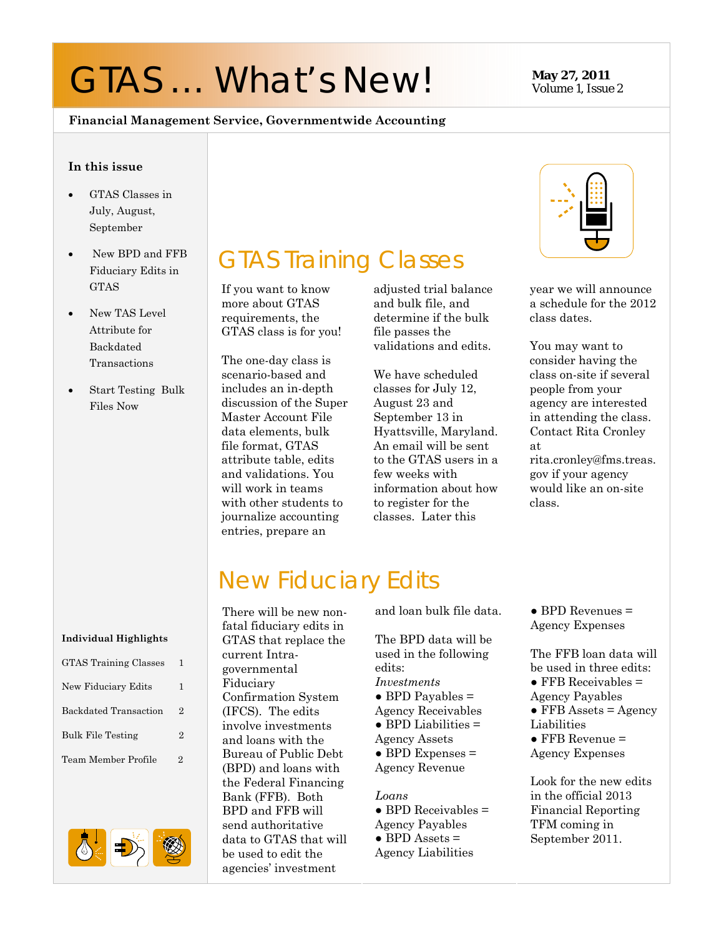# GTAS ... What's New! May 27, 2011

# Volume 1, Issue 2

#### **Financial Management Service, Governmentwide Accounting**

#### **In this issue**

- GTAS Classes in July, August, September
- New BPD and FFB Fiduciary Edits in GTAS
- New TAS Level Attribute for Backdated Transactions
- Start Testing Bulk Files Now

# GTAS Training Classes

If you want to know more about GTAS requirements, the GTAS class is for you!

The one-day class is scenario-based and includes an in-depth discussion of the Super Master Account File data elements, bulk file format, GTAS attribute table, edits and validations. You will work in teams with other students to journalize accounting entries, prepare an

adjusted trial balance and bulk file, and determine if the bulk file passes the validations and edits.

We have scheduled classes for July 12, August 23 and September 13 in Hyattsville, Maryland. An email will be sent to the GTAS users in a few weeks with information about how to register for the classes. Later this



year we will announce a schedule for the 2012 class dates.

You may want to consider having the class on-site if several people from your agency are interested in attending the class. Contact Rita Cronley at

rita.cronley@fms.treas. gov if your agency would like an on-site class.

### New Fiduciary Edits

**Individual Highlights** 

| GTAS Training Classes    |   |
|--------------------------|---|
| New Fiduciary Edits      | 1 |
| Backdated Transaction    | 2 |
| <b>Bulk File Testing</b> | 2 |
| Team Member Profile      | 2 |



There will be new nonfatal fiduciary edits in GTAS that replace the current Intragovernmental Fiduciary New Fiduciary Edits 1 FID **Figure 1** Figures 1 Figures 1 Figures 1 Confirmation System **Confirmation System Confirmation System Confirmation System Confirmation System Confirmation System Confirmation System Co** (IFCS). The edits involve investments Bulk File Testing  $\begin{array}{c|c} 2 & \text{and loans with the} \end{array}$  Agency Assets  $\begin{array}{c} \bullet \text{ FFB Revenue =} \end{array}$ Team Member Profile  $\begin{array}{c|c} 2 & \text{Bureau of Public Debt} \end{array}$  **BPD Expenses = Agency Expenses** (BPD) and loans with the Federal Financing Bank (FFB). Both BPD and FFB will send authoritative data to GTAS that will be used to edit the agencies' investment  $\begin{array}{ccc} \text{GTAS Training Classes} & 1 & \text{over} \\ \text{overemental} & 1 & \text{edits:} \end{array}$ 

and loan bulk file data.

The BPD data will be used in the following edits: *Investments*   $\bullet$  BPD Payables = Agency Receivables  $\bullet$  BPD Liabilities  $=$ Agency Assets  $\bullet$  BPD Expenses = Agency Revenue

#### *Loans*

 $\bullet$  BPD Receivables = Agency Payables  $\bullet$  BPD Assets = Agency Liabilities

 $\bullet$  BPD Revenues = Agency Expenses

The FFB loan data will  $\bullet$  FFB Receivables  $=$  $\bullet$  FFB Assets = Agency Liabilities

Look for the new edits in the official 2013 Financial Reporting TFM coming in September 2011.